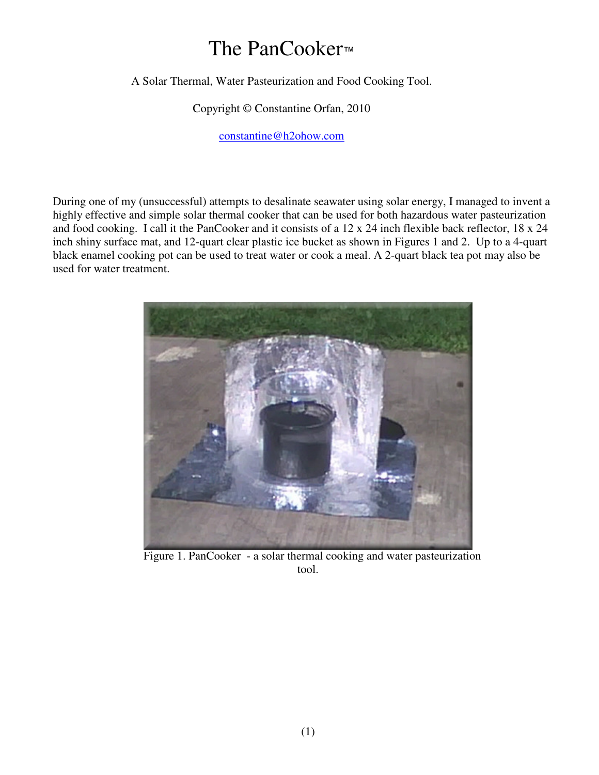## The PanCooker™

A Solar Thermal, Water Pasteurization and Food Cooking Tool.

Copyright © Constantine Orfan, 2010

constantine@h2ohow.com

During one of my (unsuccessful) attempts to desalinate seawater using solar energy, I managed to invent a highly effective and simple solar thermal cooker that can be used for both hazardous water pasteurization and food cooking. I call it the PanCooker and it consists of a 12 x 24 inch flexible back reflector, 18 x 24 inch shiny surface mat, and 12-quart clear plastic ice bucket as shown in Figures 1 and 2. Up to a 4-quart black enamel cooking pot can be used to treat water or cook a meal. A 2-quart black tea pot may also be used for water treatment.



 Figure 1. PanCooker - a solar thermal cooking and water pasteurization tool.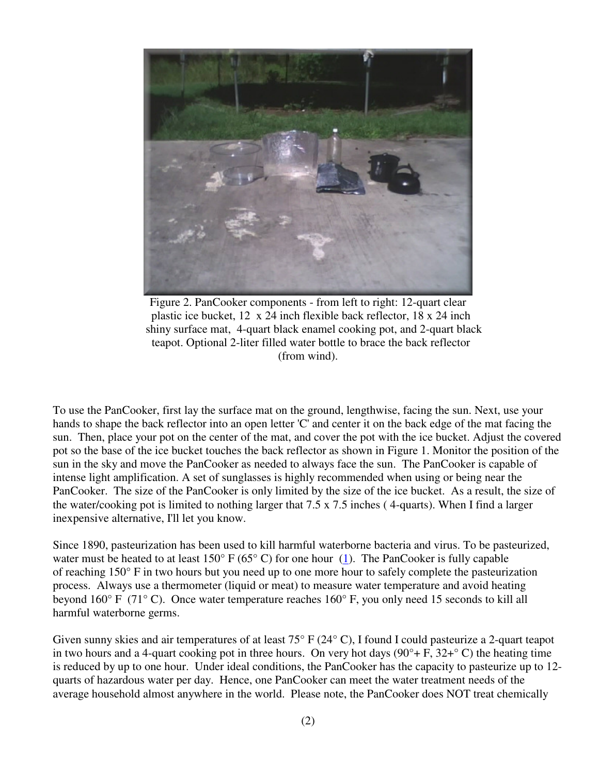

Figure 2. PanCooker components - from left to right: 12-quart clear plastic ice bucket, 12 x 24 inch flexible back reflector, 18 x 24 inch shiny surface mat, 4-quart black enamel cooking pot, and 2-quart black teapot. Optional 2-liter filled water bottle to brace the back reflector (from wind).

To use the PanCooker, first lay the surface mat on the ground, lengthwise, facing the sun. Next, use your hands to shape the back reflector into an open letter 'C' and center it on the back edge of the mat facing the sun. Then, place your pot on the center of the mat, and cover the pot with the ice bucket. Adjust the covered pot so the base of the ice bucket touches the back reflector as shown in Figure 1. Monitor the position of the sun in the sky and move the PanCooker as needed to always face the sun. The PanCooker is capable of intense light amplification. A set of sunglasses is highly recommended when using or being near the PanCooker. The size of the PanCooker is only limited by the size of the ice bucket. As a result, the size of the water/cooking pot is limited to nothing larger that 7.5 x 7.5 inches ( 4-quarts). When I find a larger inexpensive alternative, I'll let you know.

Since 1890, pasteurization has been used to kill harmful waterborne bacteria and virus. To be pasteurized, water must be heated to at least  $150^{\circ}$  F (65° C) for one hour (1). The PanCooker is fully capable of reaching 150° F in two hours but you need up to one more hour to safely complete the pasteurization process. Always use a thermometer (liquid or meat) to measure water temperature and avoid heating beyond 160° F (71° C). Once water temperature reaches 160° F, you only need 15 seconds to kill all harmful waterborne germs.

Given sunny skies and air temperatures of at least 75° F (24° C), I found I could pasteurize a 2-quart teapot in two hours and a 4-quart cooking pot in three hours. On very hot days  $(90^\circ + F, 32^\circ C)$  the heating time is reduced by up to one hour. Under ideal conditions, the PanCooker has the capacity to pasteurize up to 12 quarts of hazardous water per day. Hence, one PanCooker can meet the water treatment needs of the average household almost anywhere in the world. Please note, the PanCooker does NOT treat chemically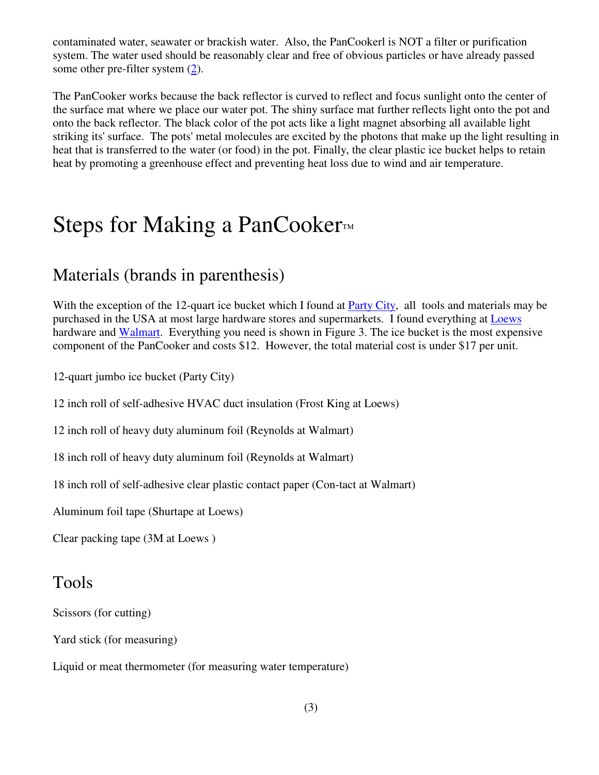contaminated water, seawater or brackish water. Also, the PanCookerl is NOT a filter or purification system. The water used should be reasonably clear and free of obvious particles or have already passed some other pre-filter system (2).

The PanCooker works because the back reflector is curved to reflect and focus sunlight onto the center of the surface mat where we place our water pot. The shiny surface mat further reflects light onto the pot and onto the back reflector. The black color of the pot acts like a light magnet absorbing all available light striking its' surface. The pots' metal molecules are excited by the photons that make up the light resulting in heat that is transferred to the water (or food) in the pot. Finally, the clear plastic ice bucket helps to retain heat by promoting a greenhouse effect and preventing heat loss due to wind and air temperature.

## Steps for Making a PanCooker™

#### Materials (brands in parenthesis)

With the exception of the 12-quart ice bucket which I found at Party City, all tools and materials may be purchased in the USA at most large hardware stores and supermarkets. I found everything at Loews hardware and Walmart. Everything you need is shown in Figure 3. The ice bucket is the most expensive component of the PanCooker and costs \$12. However, the total material cost is under \$17 per unit.

12-quart jumbo ice bucket (Party City)

12 inch roll of self-adhesive HVAC duct insulation (Frost King at Loews)

12 inch roll of heavy duty aluminum foil (Reynolds at Walmart)

18 inch roll of heavy duty aluminum foil (Reynolds at Walmart)

18 inch roll of self-adhesive clear plastic contact paper (Con-tact at Walmart)

Aluminum foil tape (Shurtape at Loews)

Clear packing tape (3M at Loews )

#### Tools

Scissors (for cutting)

Yard stick (for measuring)

Liquid or meat thermometer (for measuring water temperature)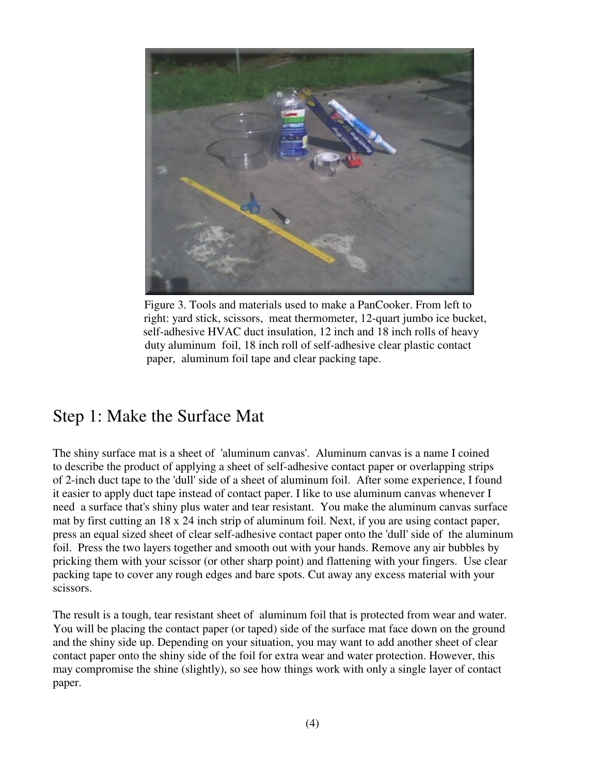

Figure 3. Tools and materials used to make a PanCooker. From left to right: yard stick, scissors, meat thermometer, 12-quart jumbo ice bucket, self-adhesive HVAC duct insulation, 12 inch and 18 inch rolls of heavy duty aluminum foil, 18 inch roll of self-adhesive clear plastic contact paper, aluminum foil tape and clear packing tape.

#### Step 1: Make the Surface Mat

The shiny surface mat is a sheet of 'aluminum canvas'. Aluminum canvas is a name I coined to describe the product of applying a sheet of self-adhesive contact paper or overlapping strips of 2-inch duct tape to the 'dull' side of a sheet of aluminum foil. After some experience, I found it easier to apply duct tape instead of contact paper. I like to use aluminum canvas whenever I need a surface that's shiny plus water and tear resistant. You make the aluminum canvas surface mat by first cutting an 18 x 24 inch strip of aluminum foil. Next, if you are using contact paper, press an equal sized sheet of clear self-adhesive contact paper onto the 'dull' side of the aluminum foil. Press the two layers together and smooth out with your hands. Remove any air bubbles by pricking them with your scissor (or other sharp point) and flattening with your fingers. Use clear packing tape to cover any rough edges and bare spots. Cut away any excess material with your scissors.

The result is a tough, tear resistant sheet of aluminum foil that is protected from wear and water. You will be placing the contact paper (or taped) side of the surface mat face down on the ground and the shiny side up. Depending on your situation, you may want to add another sheet of clear contact paper onto the shiny side of the foil for extra wear and water protection. However, this may compromise the shine (slightly), so see how things work with only a single layer of contact paper.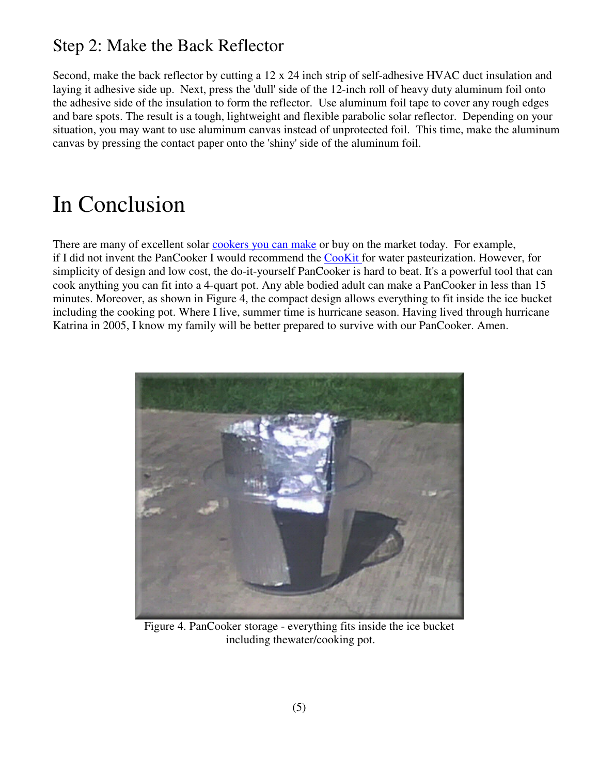### Step 2: Make the Back Reflector

Second, make the back reflector by cutting a 12 x 24 inch strip of self-adhesive HVAC duct insulation and laying it adhesive side up. Next, press the 'dull' side of the 12-inch roll of heavy duty aluminum foil onto the adhesive side of the insulation to form the reflector. Use aluminum foil tape to cover any rough edges and bare spots. The result is a tough, lightweight and flexible parabolic solar reflector. Depending on your situation, you may want to use aluminum canvas instead of unprotected foil. This time, make the aluminum canvas by pressing the contact paper onto the 'shiny' side of the aluminum foil.

# In Conclusion

There are many of excellent solar cookers you can make or buy on the market today. For example, if I did not invent the PanCooker I would recommend the CooKit for water pasteurization. However, for simplicity of design and low cost, the do-it-yourself PanCooker is hard to beat. It's a powerful tool that can cook anything you can fit into a 4-quart pot. Any able bodied adult can make a PanCooker in less than 15 minutes. Moreover, as shown in Figure 4, the compact design allows everything to fit inside the ice bucket including the cooking pot. Where I live, summer time is hurricane season. Having lived through hurricane Katrina in 2005, I know my family will be better prepared to survive with our PanCooker. Amen.



Figure 4. PanCooker storage - everything fits inside the ice bucket including thewater/cooking pot.